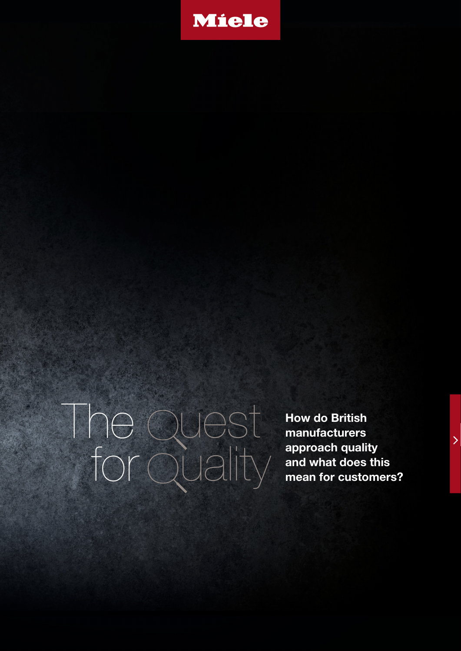

The for uest

**How do British manufacturers approach quality approach quality<br>
UCLIFY** and what does this<br> **u** mean for customers?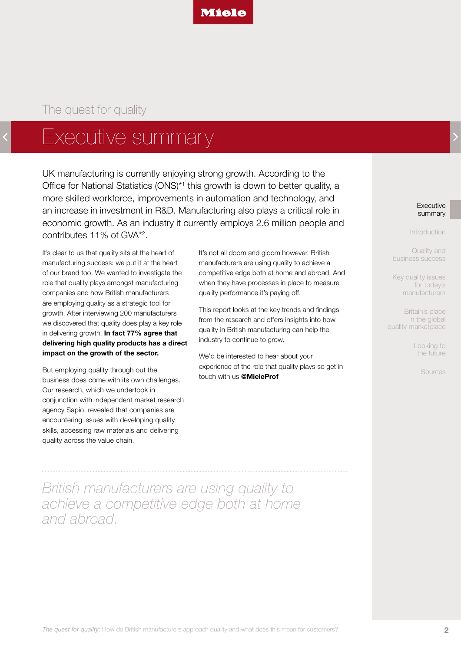

# <span id="page-1-0"></span>Executive summary

UK manufacturing is currently enjoying strong growth. According to the Office for National Statistics (ONS)<sup>\*1</sup> this growth is down to better quality, a more skilled workforce, improvements in automation and technology, and an increase in investment in R&D. Manufacturing also plays a critical role in economic growth. As an industry it currently employs 2.6 million people and contributes 11% of GVA\*2 .

It's clear to us that quality sits at the heart of manufacturing success: we put it at the heart of our brand too. We wanted to investigate the role that quality plays amongst manufacturing companies and how British manufacturers are employing quality as a strategic tool for growth. After interviewing 200 manufacturers we discovered that quality does play a key role in delivering growth. **In fact 77% agree that delivering high quality products has a direct impact on the growth of the sector.**

But employing quality through out the business does come with its own challenges. Our research, which we undertook in conjunction with independent market research agency Sapio, revealed that companies are encountering issues with developing quality skills, accessing raw materials and delivering quality across the value chain.

It's not all doom and gloom however. British manufacturers are using quality to achieve a competitive edge both at home and abroad. And when they have processes in place to measure quality performance it's paying off.

This report looks at the key trends and findings from the research and offers insights into how quality in British manufacturing can help the industry to continue to grow.

We'd be interested to hear about your experience of the role that quality plays so get in touch with us **@MieleProf**

**Executive** summary

[Introduction](#page-2-0)

Quality and [business success](#page-3-0)

[Key quality issues](#page-6-0)  for today's manufacturers

Britain's place in the global [quality marketplace](#page-11-0)

> [Looking to](#page-12-0)  the future

> > [Sources](#page-13-0)

*British manufacturers are using quality to achieve a competitive edge both at home and abroad.*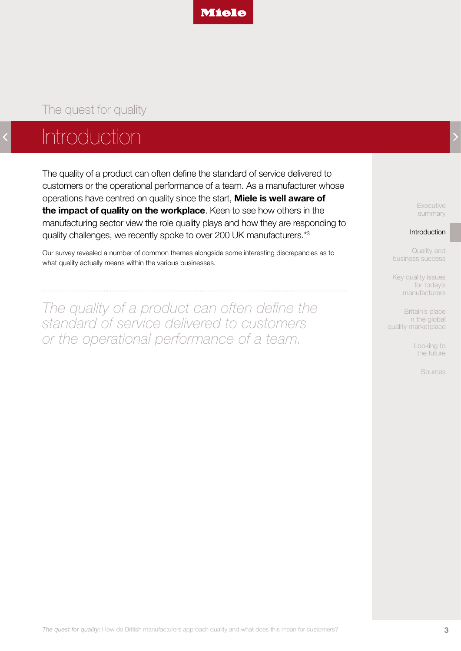

# <span id="page-2-0"></span>Introduction

The quality of a product can often define the standard of service delivered to customers or the operational performance of a team. As a manufacturer whose operations have centred on quality since the start, **Miele is well aware of the impact of quality on the workplace**. Keen to see how others in the manufacturing sector view the role quality plays and how they are responding to quality challenges, we recently spoke to over 200 UK manufacturers.\*3

Our survey revealed a number of common themes alongside some interesting discrepancies as to what quality actually means within the various businesses.

*The quality of a product can often define the standard of service delivered to customers or the operational performance of a team.*

[Executive](#page-1-0)  summary

#### Introduction

Quality and [business success](#page-3-0)

[Key quality issues](#page-6-0)  for today's manufacturers

Britain's place in the global [quality marketplace](#page-11-0)

> [Looking to](#page-12-0)  the future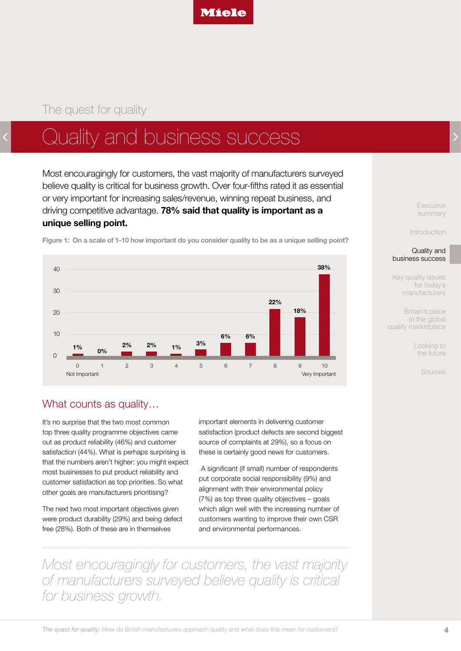

# <span id="page-3-0"></span>Quality and business success

Most encouragingly for customers, the vast majority of manufacturers surveyed believe quality is critical for business growth. Over four-fifths rated it as essential or very important for increasing sales/revenue, winning repeat business, and driving competitive advantage. **78% said that quality is important as a unique selling point.** 



**Figure 1: On a scale of 1-10 how important do you consider quality to be as a unique selling point?**

What counts as quality...

It's no surprise that the two most common top three quality programme objectives came out as product reliability (46%) and customer satisfaction (44%). What is perhaps surprising is that the numbers aren't higher: you might expect most businesses to put product reliability and customer satisfaction as top priorities. So what other goals are manufacturers prioritising?

The next two most important objectives given were product durability (29%) and being defect free (28%). Both of these are in themselves

important elements in delivering customer satisfaction (product defects are second biggest source of complaints at 29%), so a focus on these is certainly good news for customers.

 A significant (if small) number of respondents put corporate social responsibility (9%) and alignment with their environmental policy (7%) as top three quality objectives – goals which align well with the increasing number of customers wanting to improve their own CSR and environmental performances.

*Most encouragingly for customers, the vast majority of manufacturers surveyed believe quality is critical for business growth.*

[Executive](#page-1-0)  summary

[Introduction](#page-2-0)

#### Quality and business success

[Key quality issues](#page-6-0)  for today's manufacturers

Britain's place in the global [quality marketplace](#page-11-0)

> [Looking to](#page-12-0)  the future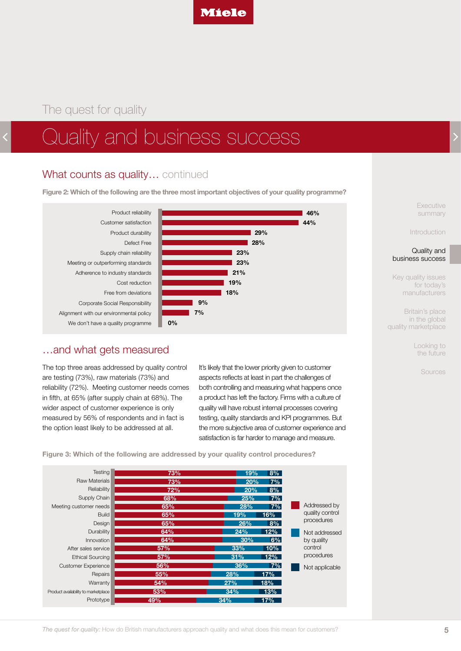

# Quality and business success

### What counts as quality... continued

**Figure 2: Which of the following are the three most important objectives of your quality programme?**



#### …and what gets measured

The top three areas addressed by quality control are testing (73%), raw materials (73%) and reliability (72%). Meeting customer needs comes in fifth, at 65% (after supply chain at 68%). The wider aspect of customer experience is only measured by 56% of respondents and in fact is the option least likely to be addressed at all.

It's likely that the lower priority given to customer aspects reflects at least in part the challenges of both controlling and measuring what happens once a product has left the factory. Firms with a culture of quality will have robust internal processes covering testing, quality standards and KPI programmes. But the more subjective area of customer experience and satisfaction is far harder to manage and measure.

**Testing** Raw Materials Reliability Supply Chain Meeting customer needs Build Design **Durability** Innovation After sales service Ethical Sourcing Customer Experience Repairs **Warranty** Product availability to marketplace Prototype **8% 7% 8% 7% 7% 16% 8% 12% 6% 10% 12%** Addressed by quality control procedures **7% 17% 18% 13% 17%** Not addressed by quality control procedures Not applicable **73% 73% 72% 68% 65% 65% 65% 64% 64% 57% 57% 56% 55% 54% 53% 49% 19% 20% 20% 25% 28% 19% 26% 24% 30% 33% 31% 36% 28% 27% 34% 34%**

**Figure 3: Which of the following are addressed by your quality control procedures?**

[Executive](#page-1-0)  summary

[Introduction](#page-2-0)

Quality and [business success](#page-3-0)

[Key quality issues](#page-6-0)  for today's manufacturers

Britain's place in the global [quality marketplace](#page-11-0)

> [Looking to](#page-12-0)  the future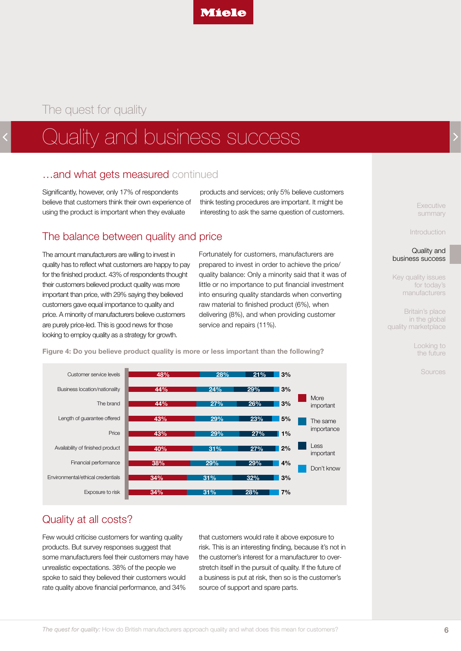

# Quality and business success

#### …and what gets measured continued

Significantly, however, only 17% of respondents believe that customers think their own experience of using the product is important when they evaluate

products and services; only 5% believe customers think testing procedures are important. It might be interesting to ask the same question of customers.

### The balance between quality and price

The amount manufacturers are willing to invest in quality has to reflect what customers are happy to pay for the finished product. 43% of respondents thought their customers believed product quality was more important than price, with 29% saying they believed customers gave equal importance to quality and price. A minority of manufacturers believe customers are purely price-led. This is good news for those looking to employ quality as a strategy for growth.

Fortunately for customers, manufacturers are prepared to invest in order to achieve the price/ quality balance: Only a minority said that it was of little or no importance to put financial investment into ensuring quality standards when converting raw material to finished product (6%), when delivering (8%), and when providing customer service and repairs (11%).



**Figure 4: Do you believe product quality is more or less important than the following?**

## Quality at all costs?

Few would criticise customers for wanting quality products. But survey responses suggest that some manufacturers feel their customers may have unrealistic expectations. 38% of the people we spoke to said they believed their customers would rate quality above financial performance, and 34%

that customers would rate it above exposure to risk. This is an interesting finding, because it's not in the customer's interest for a manufacturer to overstretch itself in the pursuit of quality. If the future of a business is put at risk, then so is the customer's source of support and spare parts.

**Executive** summary

[Introduction](#page-2-0)

Quality and [business success](#page-3-0)

[Key quality issues](#page-6-0)  for today's manufacturers

Britain's place in the global [quality marketplace](#page-11-0)

> [Looking to](#page-12-0)  the future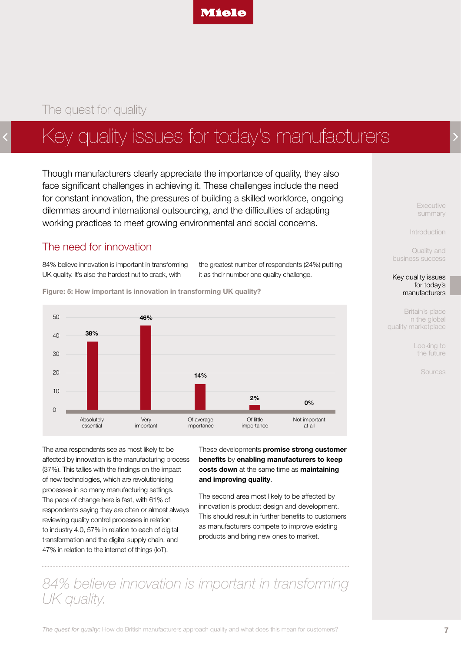

# <span id="page-6-0"></span>Key quality issues for today's manufacturers

Though manufacturers clearly appreciate the importance of quality, they also face significant challenges in achieving it. These challenges include the need for constant innovation, the pressures of building a skilled workforce, ongoing dilemmas around international outsourcing, and the difficulties of adapting working practices to meet growing environmental and social concerns.

#### The need for innovation

84% believe innovation is important in transforming UK quality. It's also the hardest nut to crack, with

the greatest number of respondents (24%) putting it as their number one quality challenge.

**Figure: 5: How important is innovation in transforming UK quality?**



The area respondents see as most likely to be affected by innovation is the manufacturing process (37%). This tallies with the findings on the impact of new technologies, which are revolutionising processes in so many manufacturing settings. The pace of change here is fast, with 61% of respondents saying they are often or almost always reviewing quality control processes in relation to industry 4.0, 57% in relation to each of digital transformation and the digital supply chain, and 47% in relation to the internet of things (IoT).

These developments **promise strong customer benefits** by **enabling manufacturers to keep costs down** at the same time as **maintaining and improving quality**.

The second area most likely to be affected by innovation is product design and development. This should result in further benefits to customers as manufacturers compete to improve existing products and bring new ones to market.

*84% believe innovation is important in transforming UK quality.*

[Executive](#page-1-0)  summary

[Introduction](#page-2-0)

Quality and [business success](#page-3-0)

#### Key quality issues for today's manufacturers

Britain's place in the global [quality marketplace](#page-11-0)

> [Looking to](#page-12-0)  the future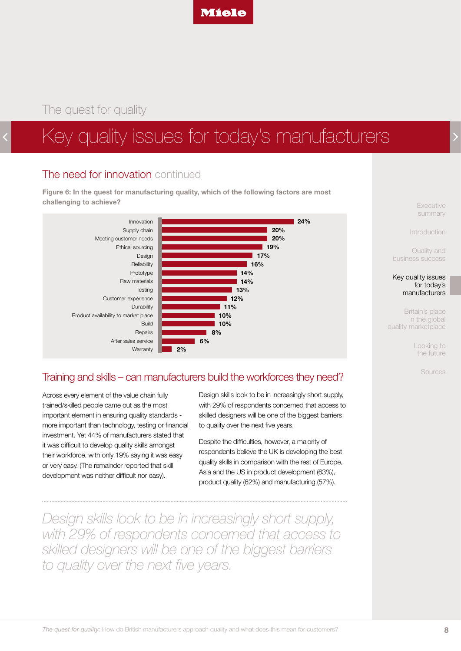

# Key quality issues for today's manufacturers

### The need for innovation continued

**Figure 6: In the quest for manufacturing quality, which of the following factors are most challenging to achieve?**



[Executive](#page-1-0)  summary

[Introduction](#page-2-0)

Quality and [business success](#page-3-0)

[Key quality issues](#page-6-0)  for today's manufacturers

Britain's place in the global [quality marketplace](#page-11-0)

> [Looking to](#page-12-0)  the future

> > [Sources](#page-13-0)

#### Training and skills – can manufacturers build the workforces they need?

Across every element of the value chain fully trained/skilled people came out as the most important element in ensuring quality standards more important than technology, testing or financial investment. Yet 44% of manufacturers stated that it was difficult to develop quality skills amongst their workforce, with only 19% saying it was easy or very easy. (The remainder reported that skill development was neither difficult nor easy).

Design skills look to be in increasingly short supply, with 29% of respondents concerned that access to skilled designers will be one of the biggest barriers to quality over the next five years.

Despite the difficulties, however, a majority of respondents believe the UK is developing the best quality skills in comparison with the rest of Europe, Asia and the US in product development (63%), product quality (62%) and manufacturing (57%).

*Design skills look to be in increasingly short supply, with 29% of respondents concerned that access to skilled designers will be one of the biggest barriers to quality over the next five years.*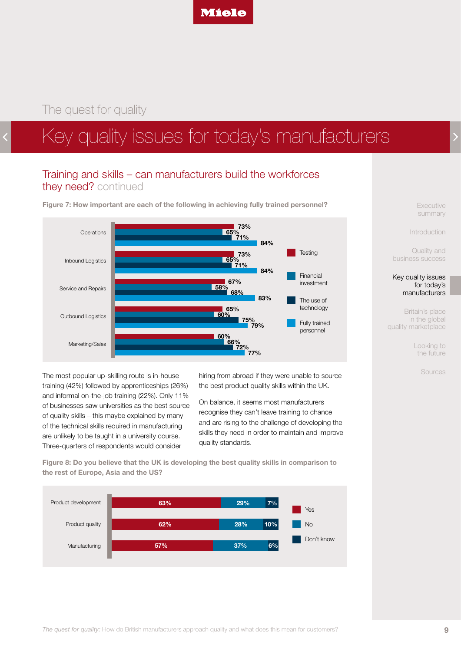

# Key quality issues for today's manufacturers

### Training and skills – can manufacturers build the workforces they need? continued

**Figure 7: How important are each of the following in achieving fully trained personnel?**



The most popular up-skilling route is in-house training (42%) followed by apprenticeships (26%) and informal on-the-job training (22%). Only 11% of businesses saw universities as the best source of quality skills – this maybe explained by many of the technical skills required in manufacturing are unlikely to be taught in a university course. Three-quarters of respondents would consider

hiring from abroad if they were unable to source the best product quality skills within the UK.

On balance, it seems most manufacturers recognise they can't leave training to chance and are rising to the challenge of developing the skills they need in order to maintain and improve quality standards.

**Figure 8: Do you believe that the UK is developing the best quality skills in comparison to the rest of Europe, Asia and the US?**



[Executive](#page-1-0)  summary

[Introduction](#page-2-0)

Quality and [business success](#page-3-0)

#### [Key quality issues](#page-6-0)  for today's manufacturers

Britain's place in the global [quality marketplace](#page-11-0)

> [Looking to](#page-12-0)  the future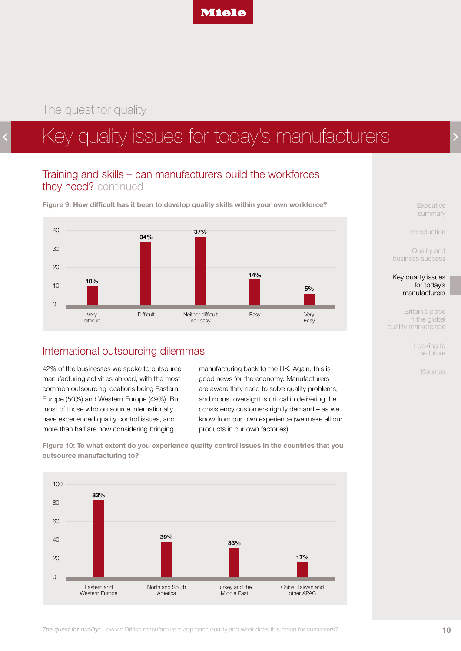

# Key quality issues for today's manufacturers

### Training and skills – can manufacturers build the workforces they need? continued

**Figure 9: How difficult has it been to develop quality skills within your own workforce?**



#### International outsourcing dilemmas

42% of the businesses we spoke to outsource manufacturing activities abroad, with the most common outsourcing locations being Eastern Europe (50%) and Western Europe (49%). But most of those who outsource internationally have experienced quality control issues, and more than half are now considering bringing

manufacturing back to the UK. Again, this is good news for the economy. Manufacturers are aware they need to solve quality problems, and robust oversight is critical in delivering the consistency customers rightly demand – as we know from our own experience (we make all our products in our own factories).

**Figure 10: To what extent do you experience quality control issues in the countries that you outsource manufacturing to?**



[Executive](#page-1-0)  summary

[Introduction](#page-2-0)

Quality and [business success](#page-3-0)

[Key quality issues](#page-6-0)  for today's manufacturers

Britain's place in the global [quality marketplace](#page-11-0)

> [Looking to](#page-12-0)  the future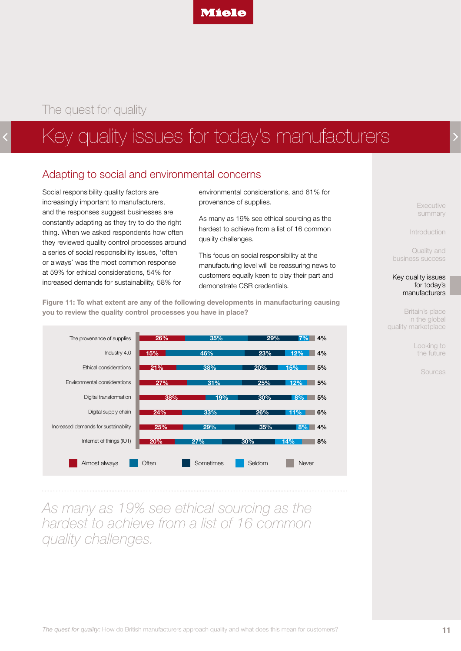

# Key quality issues for today's manufacturers

### Adapting to social and environmental concerns

Social responsibility quality factors are increasingly important to manufacturers, and the responses suggest businesses are constantly adapting as they try to do the right thing. When we asked respondents how often they reviewed quality control processes around a series of social responsibility issues, 'often or always' was the most common response at 59% for ethical considerations, 54% for increased demands for sustainability, 58% for

environmental considerations, and 61% for provenance of supplies.

As many as 19% see ethical sourcing as the hardest to achieve from a list of 16 common quality challenges.

This focus on social responsibility at the manufacturing level will be reassuring news to customers equally keen to play their part and demonstrate CSR credentials.

**Figure 11: To what extent are any of the following developments in manufacturing causing you to review the quality control processes you have in place?**



*As many as 19% see ethical sourcing as the hardest to achieve from a list of 16 common quality challenges.*

[Executive](#page-1-0)  summary

[Introduction](#page-2-0)

Quality and [business success](#page-3-0)

#### [Key quality issues](#page-6-0)  for today's manufacturers

Britain's place in the global [quality marketplace](#page-11-0)

> [Looking to](#page-12-0)  the future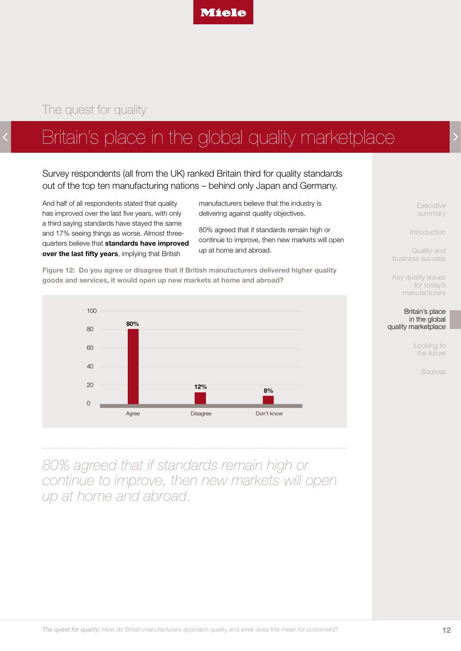

# <span id="page-11-0"></span>Britain's place in the global quality marketplace

Survey respondents (all from the UK) ranked Britain third for quality standards out of the top ten manufacturing nations – behind only Japan and Germany.

And half of all respondents stated that quality has improved over the last five years, with only a third saying standards have stayed the same and 17% seeing things as worse. Almost threequarters believe that **standards have improved over the last fifty years**, implying that British

manufacturers believe that the industry is delivering against quality objectives.

80% agreed that if standards remain high or continue to improve, then new markets will open up at home and abroad.

**Figure 12: Do you agree or disagree that if British manufacturers delivered higher quality goods and services, it would open up new markets at home and abroad?**



*80% agreed that if standards remain high or continue to improve, then new markets will open up at home and abroad.*

[Executive](#page-1-0)  summary

[Introduction](#page-2-0)

Quality and [business success](#page-3-0)

[Key quality issues](#page-6-0)  for today's manufacturers



[Looking to](#page-12-0)  the future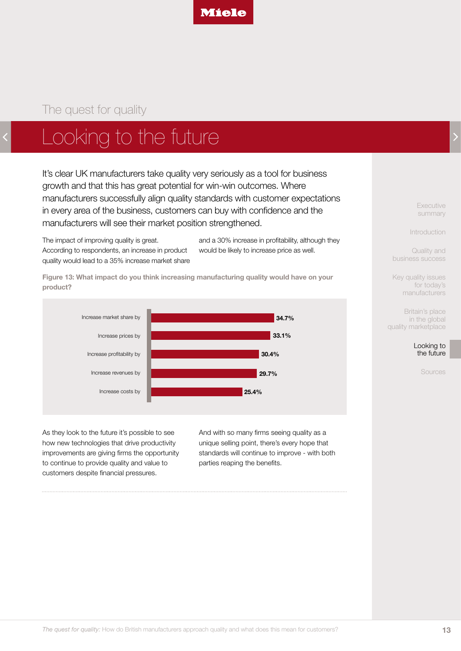

# <span id="page-12-0"></span>Looking to the future

It's clear UK manufacturers take quality very seriously as a tool for business growth and that this has great potential for win-win outcomes. Where manufacturers successfully align quality standards with customer expectations in every area of the business, customers can buy with confidence and the manufacturers will see their market position strengthened.

The impact of improving quality is great. According to respondents, an increase in product quality would lead to a 35% increase market share and a 30% increase in profitability, although they would be likely to increase price as well.

**Figure 13: What impact do you think increasing manufacturing quality would have on your product?**



As they look to the future it's possible to see how new technologies that drive productivity improvements are giving firms the opportunity to continue to provide quality and value to customers despite financial pressures.

And with so many firms seeing quality as a unique selling point, there's every hope that standards will continue to improve - with both parties reaping the benefits.

[Executive](#page-1-0)  summary

[Introduction](#page-2-0)

Quality and [business success](#page-3-0)

[Key quality issues](#page-6-0)  for today's manufacturers

Britain's place in the global [quality marketplace](#page-11-0)

> Looking to the future